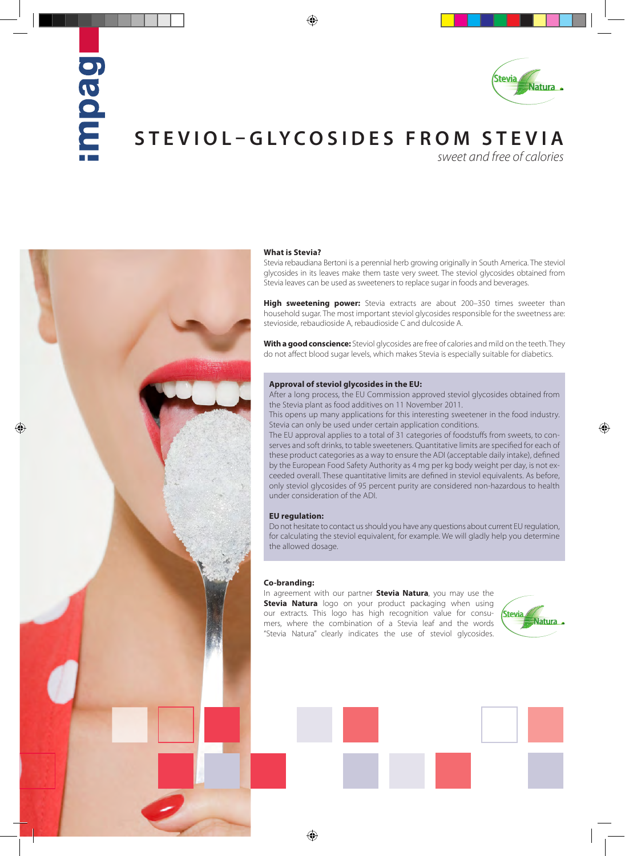# paon



## **STEVIOL–GLYCOSIDES FROM STEVIA**

*sweet and free of calories*



### **What is Stevia?**

Stevia rebaudiana Bertoni is a perennial herb growing originally in South America. The steviol glycosides in its leaves make them taste very sweet. The steviol glycosides obtained from Stevia leaves can be used as sweeteners to replace sugar in foods and beverages.

**High sweetening power:** Stevia extracts are about 200–350 times sweeter than household sugar. The most important steviol glycosides responsible for the sweetness are: stevioside, rebaudioside A, rebaudioside C and dulcoside A.

**With a good conscience:** Steviol glycosides are free of calories and mild on the teeth. They do not affect blood sugar levels, which makes Stevia is especially suitable for diabetics.

### **Approval of steviol glycosides in the EU:**

After a long process, the EU Commission approved steviol glycosides obtained from the Stevia plant as food additives on 11 November 2011.

This opens up many applications for this interesting sweetener in the food industry. Stevia can only be used under certain application conditions.

The EU approval applies to a total of 31 categories of foodstuffs from sweets, to conserves and soft drinks, to table sweeteners. Quantitative limits are specified for each of these product categories as a way to ensure the ADI (acceptable daily intake), defined by the European Food Safety Authority as 4 mg per kg body weight per day, is not exceeded overall. These quantitative limits are defined in steviol equivalents. As before, only steviol glycosides of 95 percent purity are considered non-hazardous to health under consideration of the ADI.

### **EU regulation:**

Do not hesitate to contact us should you have any questions about current EU regulation, for calculating the steviol equivalent, for example. We will gladly help you determine the allowed dosage.

### **Co-branding:**

In agreement with our partner **Stevia Natura**, you may use the **Stevia Natura** logo on your product packaging when using our extracts. This logo has high recognition value for consumers, where the combination of a Stevia leaf and the words "Stevia Natura" clearly indicates the use of steviol glycosides.